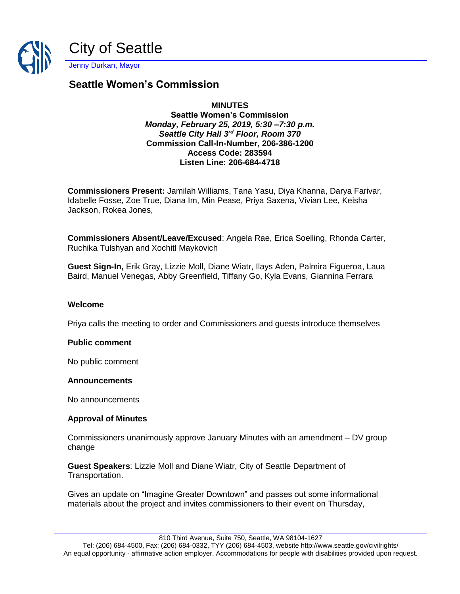

# **Seattle Women's Commission**

# **MINUTES**

**Seattle Women's Commission** *Monday, February 25, 2019, 5:30 –7:30 p.m. Seattle City Hall 3rd Floor, Room 370* **Commission Call-In-Number, 206-386-1200 Access Code: 283594 Listen Line: 206-684-4718**

**Commissioners Present:** Jamilah Williams, Tana Yasu, Diya Khanna, Darya Farivar, Idabelle Fosse, Zoe True, Diana Im, Min Pease, Priya Saxena, Vivian Lee, Keisha Jackson, Rokea Jones,

**Commissioners Absent/Leave/Excused**: Angela Rae, Erica Soelling, Rhonda Carter, Ruchika Tulshyan and Xochitl Maykovich

**Guest Sign-In,** Erik Gray, Lizzie Moll, Diane Wiatr, Ilays Aden, Palmira Figueroa, Laua Baird, Manuel Venegas, Abby Greenfield, Tiffany Go, Kyla Evans, Giannina Ferrara

### **Welcome**

Priya calls the meeting to order and Commissioners and guests introduce themselves

### **Public comment**

No public comment

### **Announcements**

No announcements

### **Approval of Minutes**

Commissioners unanimously approve January Minutes with an amendment – DV group change

**Guest Speakers**: Lizzie Moll and Diane Wiatr, City of Seattle Department of Transportation.

Gives an update on "Imagine Greater Downtown" and passes out some informational materials about the project and invites commissioners to their event on Thursday,

810 Third Avenue, Suite 750, Seattle, WA 98104-1627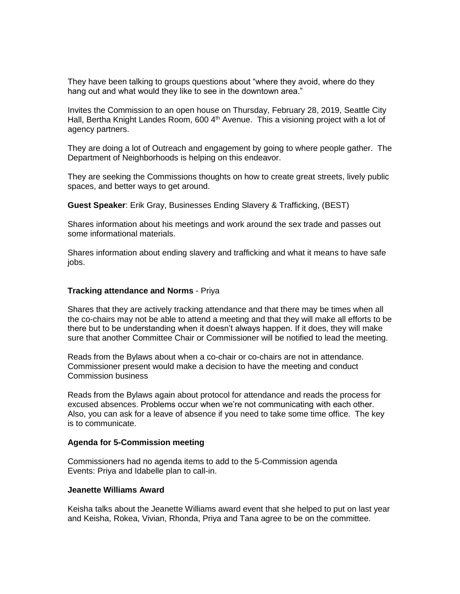They have been talking to groups questions about "where they avoid, where do they hang out and what would they like to see in the downtown area."

Invites the Commission to an open house on Thursday, February 28, 2019, Seattle City Hall, Bertha Knight Landes Room, 600 4<sup>th</sup> Avenue. This a visioning project with a lot of agency partners.

They are doing a lot of Outreach and engagement by going to where people gather. The Department of Neighborhoods is helping on this endeavor.

They are seeking the Commissions thoughts on how to create great streets, lively public spaces, and better ways to get around.

**Guest Speaker**: Erik Gray, Businesses Ending Slavery & Trafficking, (BEST)

Shares information about his meetings and work around the sex trade and passes out some informational materials.

Shares information about ending slavery and trafficking and what it means to have safe jobs.

#### **Tracking attendance and Norms** - Priya

Shares that they are actively tracking attendance and that there may be times when all the co-chairs may not be able to attend a meeting and that they will make all efforts to be there but to be understanding when it doesn't always happen. If it does, they will make sure that another Committee Chair or Commissioner will be notified to lead the meeting.

Reads from the Bylaws about when a co-chair or co-chairs are not in attendance. Commissioner present would make a decision to have the meeting and conduct Commission business

Reads from the Bylaws again about protocol for attendance and reads the process for excused absences. Problems occur when we're not communicating with each other. Also, you can ask for a leave of absence if you need to take some time office. The key is to communicate.

### **Agenda for 5-Commission meeting**

Commissioners had no agenda items to add to the 5-Commission agenda Events: Priya and Idabelle plan to call-in.

#### **Jeanette Williams Award**

Keisha talks about the Jeanette Williams award event that she helped to put on last year and Keisha, Rokea, Vivian, Rhonda, Priya and Tana agree to be on the committee.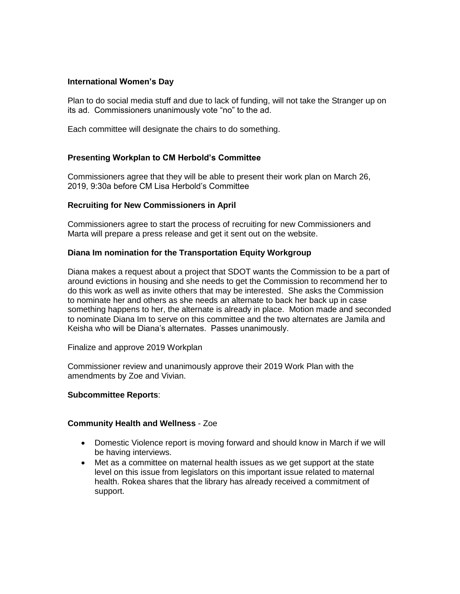### **International Women's Day**

Plan to do social media stuff and due to lack of funding, will not take the Stranger up on its ad. Commissioners unanimously vote "no" to the ad.

Each committee will designate the chairs to do something.

### **Presenting Workplan to CM Herbold's Committee**

Commissioners agree that they will be able to present their work plan on March 26, 2019, 9:30a before CM Lisa Herbold's Committee

### **Recruiting for New Commissioners in April**

Commissioners agree to start the process of recruiting for new Commissioners and Marta will prepare a press release and get it sent out on the website.

### **Diana Im nomination for the Transportation Equity Workgroup**

Diana makes a request about a project that SDOT wants the Commission to be a part of around evictions in housing and she needs to get the Commission to recommend her to do this work as well as invite others that may be interested. She asks the Commission to nominate her and others as she needs an alternate to back her back up in case something happens to her, the alternate is already in place. Motion made and seconded to nominate Diana Im to serve on this committee and the two alternates are Jamila and Keisha who will be Diana's alternates. Passes unanimously.

Finalize and approve 2019 Workplan

Commissioner review and unanimously approve their 2019 Work Plan with the amendments by Zoe and Vivian.

### **Subcommittee Reports**:

### **Community Health and Wellness** - Zoe

- Domestic Violence report is moving forward and should know in March if we will be having interviews.
- Met as a committee on maternal health issues as we get support at the state level on this issue from legislators on this important issue related to maternal health. Rokea shares that the library has already received a commitment of support.